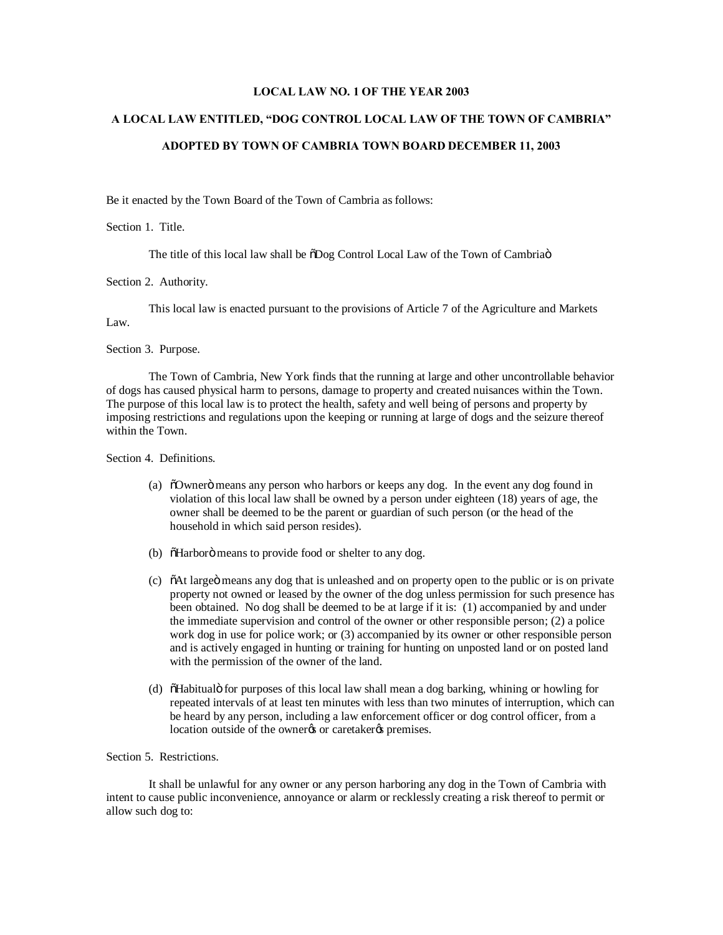## **LOCAL LAW NO. 1 OF THE YEAR 2003**

## **A LOCAL LAW ENTITLED, "DOG CONTROL LOCAL LAW OF THE TOWN OF CAMBRIA"**

### **ADOPTED BY TOWN OF CAMBRIA TOWN BOARD DECEMBER 11, 2003**

Be it enacted by the Town Board of the Town of Cambria as follows:

Section 1. Title.

The title of this local law shall be  $\delta$ Dog Control Local Law of the Town of Cambriao

Section 2. Authority.

This local law is enacted pursuant to the provisions of Article 7 of the Agriculture and Markets

Law.

Section 3. Purpose.

The Town of Cambria, New York finds that the running at large and other uncontrollable behavior of dogs has caused physical harm to persons, damage to property and created nuisances within the Town. The purpose of this local law is to protect the health, safety and well being of persons and property by imposing restrictions and regulations upon the keeping or running at large of dogs and the seizure thereof within the Town.

Section 4. Definitions.

- (a) "Owner" means any person who harbors or keeps any dog. In the event any dog found in violation of this local law shall be owned by a person under eighteen (18) years of age, the owner shall be deemed to be the parent or guardian of such person (or the head of the household in which said person resides).
- (b)  $\tilde{\text{o}}$ Harboro means to provide food or shelter to any dog.
- (c) "At large means any dog that is unleashed and on property open to the public or is on private property not owned or leased by the owner of the dog unless permission for such presence has been obtained. No dog shall be deemed to be at large if it is: (1) accompanied by and under the immediate supervision and control of the owner or other responsible person; (2) a police work dog in use for police work; or (3) accompanied by its owner or other responsible person and is actively engaged in hunting or training for hunting on unposted land or on posted land with the permission of the owner of the land.
- (d)  $\delta$ Habitualo for purposes of this local law shall mean a dog barking, whining or howling for repeated intervals of at least ten minutes with less than two minutes of interruption, which can be heard by any person, including a law enforcement officer or dog control officer, from a location outside of the owner% or caretaker% premises.

## Section 5. Restrictions.

It shall be unlawful for any owner or any person harboring any dog in the Town of Cambria with intent to cause public inconvenience, annoyance or alarm or recklessly creating a risk thereof to permit or allow such dog to: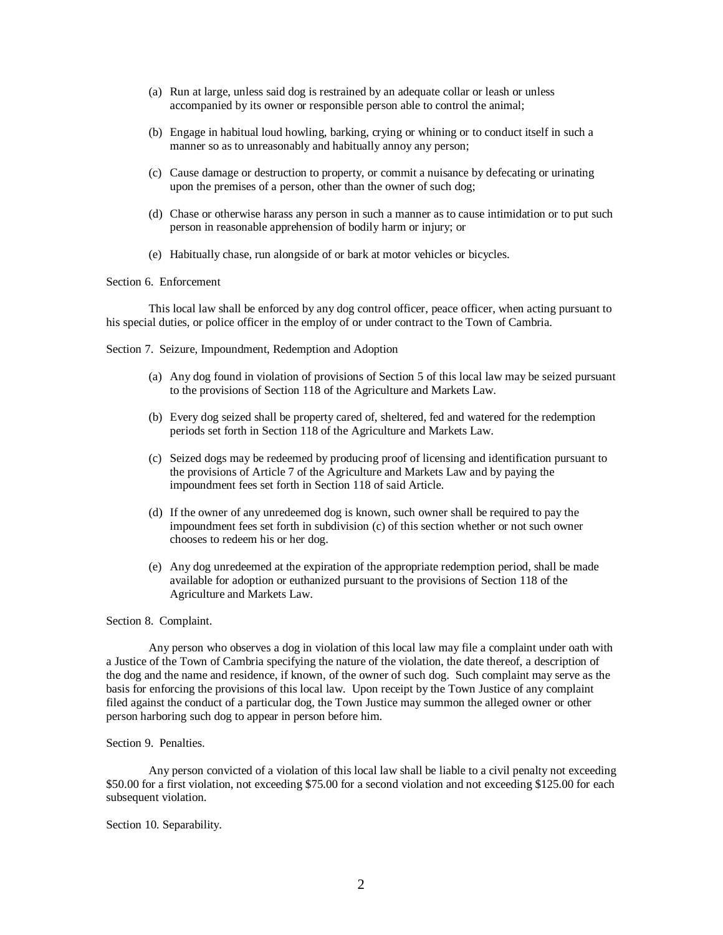- (a) Run at large, unless said dog is restrained by an adequate collar or leash or unless accompanied by its owner or responsible person able to control the animal;
- (b) Engage in habitual loud howling, barking, crying or whining or to conduct itself in such a manner so as to unreasonably and habitually annoy any person;
- (c) Cause damage or destruction to property, or commit a nuisance by defecating or urinating upon the premises of a person, other than the owner of such dog;
- (d) Chase or otherwise harass any person in such a manner as to cause intimidation or to put such person in reasonable apprehension of bodily harm or injury; or
- (e) Habitually chase, run alongside of or bark at motor vehicles or bicycles.

# Section 6. Enforcement

This local law shall be enforced by any dog control officer, peace officer, when acting pursuant to his special duties, or police officer in the employ of or under contract to the Town of Cambria.

Section 7. Seizure, Impoundment, Redemption and Adoption

- (a) Any dog found in violation of provisions of Section 5 of this local law may be seized pursuant to the provisions of Section 118 of the Agriculture and Markets Law.
- (b) Every dog seized shall be property cared of, sheltered, fed and watered for the redemption periods set forth in Section 118 of the Agriculture and Markets Law.
- (c) Seized dogs may be redeemed by producing proof of licensing and identification pursuant to the provisions of Article 7 of the Agriculture and Markets Law and by paying the impoundment fees set forth in Section 118 of said Article.
- (d) If the owner of any unredeemed dog is known, such owner shall be required to pay the impoundment fees set forth in subdivision (c) of this section whether or not such owner chooses to redeem his or her dog.
- (e) Any dog unredeemed at the expiration of the appropriate redemption period, shall be made available for adoption or euthanized pursuant to the provisions of Section 118 of the Agriculture and Markets Law.

### Section 8. Complaint.

Any person who observes a dog in violation of this local law may file a complaint under oath with a Justice of the Town of Cambria specifying the nature of the violation, the date thereof, a description of the dog and the name and residence, if known, of the owner of such dog. Such complaint may serve as the basis for enforcing the provisions of this local law. Upon receipt by the Town Justice of any complaint filed against the conduct of a particular dog, the Town Justice may summon the alleged owner or other person harboring such dog to appear in person before him.

## Section 9. Penalties.

Any person convicted of a violation of this local law shall be liable to a civil penalty not exceeding \$50.00 for a first violation, not exceeding \$75.00 for a second violation and not exceeding \$125.00 for each subsequent violation.

### Section 10. Separability.